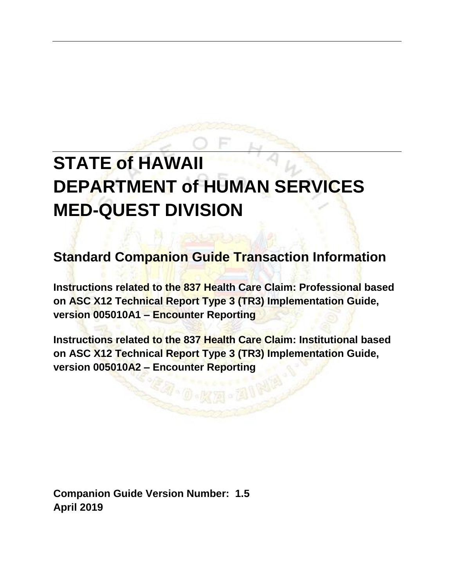# **STATE of HAWAII DEPARTMENT of HUMAN SERVICES MED-QUEST DIVISION**

**Standard Companion Guide Transaction Information**

**Instructions related to the 837 Health Care Claim: Professional based on ASC X12 Technical Report Type 3 (TR3) Implementation Guide, version 005010A1 – Encounter Reporting**

**Instructions related to the 837 Health Care Claim: Institutional based on ASC X12 Technical Report Type 3 (TR3) Implementation Guide, version 005010A2 – Encounter Reporting**

**Companion Guide Version Number: 1.5 April 2019**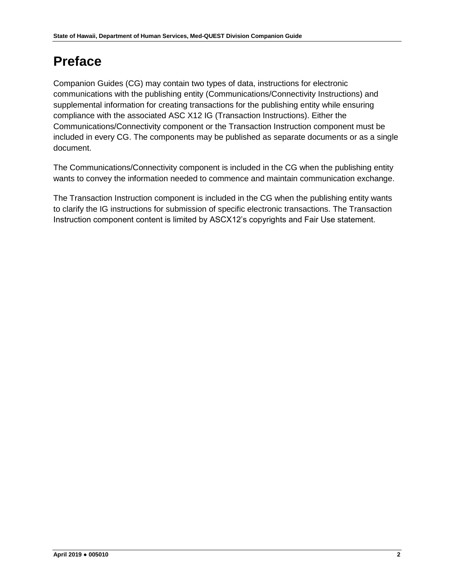# **Preface**

Companion Guides (CG) may contain two types of data, instructions for electronic communications with the publishing entity (Communications/Connectivity Instructions) and supplemental information for creating transactions for the publishing entity while ensuring compliance with the associated ASC X12 IG (Transaction Instructions). Either the Communications/Connectivity component or the Transaction Instruction component must be included in every CG. The components may be published as separate documents or as a single document.

The Communications/Connectivity component is included in the CG when the publishing entity wants to convey the information needed to commence and maintain communication exchange.

The Transaction Instruction component is included in the CG when the publishing entity wants to clarify the IG instructions for submission of specific electronic transactions. The Transaction Instruction component content is limited by ASCX12's copyrights and Fair Use statement.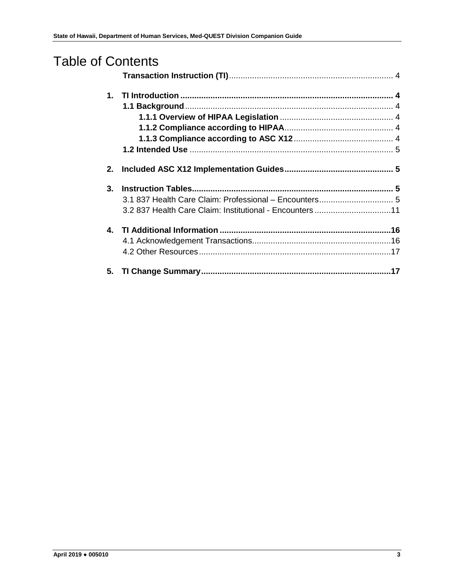| <b>Table of Contents</b> |                                                          |  |
|--------------------------|----------------------------------------------------------|--|
|                          |                                                          |  |
| $\mathbf 1$ .            |                                                          |  |
|                          |                                                          |  |
|                          |                                                          |  |
|                          |                                                          |  |
|                          |                                                          |  |
|                          |                                                          |  |
| 2.                       |                                                          |  |
| 3.                       |                                                          |  |
|                          | 3.1 837 Health Care Claim: Professional - Encounters 5   |  |
|                          | 3.2 837 Health Care Claim: Institutional - Encounters 11 |  |
|                          |                                                          |  |
|                          |                                                          |  |
|                          |                                                          |  |
| 5.                       |                                                          |  |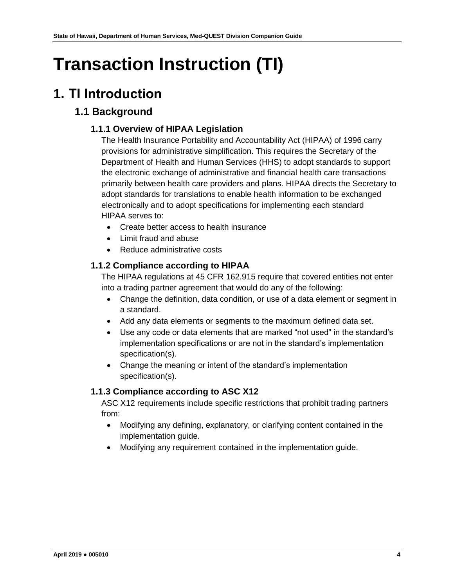# <span id="page-3-0"></span>**Transaction Instruction (TI)**

# <span id="page-3-2"></span><span id="page-3-1"></span>**1. TI Introduction**

## <span id="page-3-3"></span>**1.1 Background**

### **1.1.1 Overview of HIPAA Legislation**

The Health Insurance Portability and Accountability Act (HIPAA) of 1996 carry provisions for administrative simplification. This requires the Secretary of the Department of Health and Human Services (HHS) to adopt standards to support the electronic exchange of administrative and financial health care transactions primarily between health care providers and plans. HIPAA directs the Secretary to adopt standards for translations to enable health information to be exchanged electronically and to adopt specifications for implementing each standard HIPAA serves to:

- Create better access to health insurance
- Limit fraud and abuse
- Reduce administrative costs

#### <span id="page-3-4"></span>**1.1.2 Compliance according to HIPAA**

The HIPAA regulations at 45 CFR 162.915 require that covered entities not enter into a trading partner agreement that would do any of the following:

- Change the definition, data condition, or use of a data element or segment in a standard.
- Add any data elements or segments to the maximum defined data set.
- Use any code or data elements that are marked "not used" in the standard's implementation specifications or are not in the standard's implementation specification(s).
- Change the meaning or intent of the standard's implementation specification(s).

#### <span id="page-3-5"></span>**1.1.3 Compliance according to ASC X12**

ASC X12 requirements include specific restrictions that prohibit trading partners from:

- Modifying any defining, explanatory, or clarifying content contained in the implementation guide.
- Modifying any requirement contained in the implementation guide.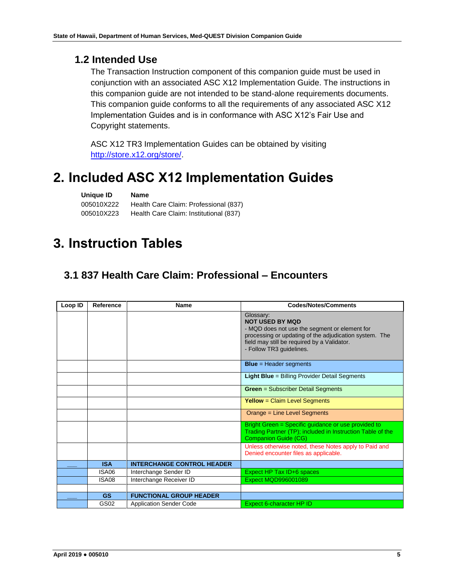### <span id="page-4-0"></span>**1.2 Intended Use**

The Transaction Instruction component of this companion guide must be used in conjunction with an associated ASC X12 Implementation Guide. The instructions in this companion guide are not intended to be stand-alone requirements documents. This companion guide conforms to all the requirements of any associated ASC X12 Implementation Guides and is in conformance with ASC X12's Fair Use and Copyright statements.

ASC X12 TR3 Implementation Guides can be obtained by visiting [http://store.x12.org/store/.](http://store.x12.org/store/)

## <span id="page-4-1"></span>**2. Included ASC X12 Implementation Guides**

| Unique ID  | Name                                   |
|------------|----------------------------------------|
| 005010X222 | Health Care Claim: Professional (837)  |
| 005010X223 | Health Care Claim: Institutional (837) |

# <span id="page-4-2"></span>**3. Instruction Tables**

## <span id="page-4-3"></span>**3.1 837 Health Care Claim: Professional – Encounters**

| Loop ID | Reference  | Name                              | <b>Codes/Notes/Comments</b>                                                                                                                                                                                               |
|---------|------------|-----------------------------------|---------------------------------------------------------------------------------------------------------------------------------------------------------------------------------------------------------------------------|
|         |            |                                   | Glossary:<br><b>NOT USED BY MQD</b><br>- MQD does not use the segment or element for<br>processing or updating of the adjudication system. The<br>field may still be required by a Validator.<br>- Follow TR3 guidelines. |
|         |            |                                   | $Blue = Header segments$                                                                                                                                                                                                  |
|         |            |                                   | <b>Light Blue</b> = Billing Provider Detail Segments                                                                                                                                                                      |
|         |            |                                   | <b>Green</b> = Subscriber Detail Segments                                                                                                                                                                                 |
|         |            |                                   | <b>Yellow</b> = Claim Level Segments                                                                                                                                                                                      |
|         |            |                                   | Orange = Line Level Segments                                                                                                                                                                                              |
|         |            |                                   | Bright Green = Specific guidance or use provided to<br>Trading Partner (TP); included in Instruction Table of the<br><b>Companion Guide (CG)</b>                                                                          |
|         |            |                                   | Unless otherwise noted, these Notes apply to Paid and<br>Denied encounter files as applicable.                                                                                                                            |
|         | <b>ISA</b> | <b>INTERCHANGE CONTROL HEADER</b> |                                                                                                                                                                                                                           |
|         | ISA06      | Interchange Sender ID             | Expect HP Tax ID+6 spaces                                                                                                                                                                                                 |
|         | ISA08      | Interchange Receiver ID           | <b>Expect MQD996001089</b>                                                                                                                                                                                                |
|         |            |                                   |                                                                                                                                                                                                                           |
|         | <b>GS</b>  | <b>FUNCTIONAL GROUP HEADER</b>    |                                                                                                                                                                                                                           |
|         | GS02       | <b>Application Sender Code</b>    | Expect 6-character HP ID                                                                                                                                                                                                  |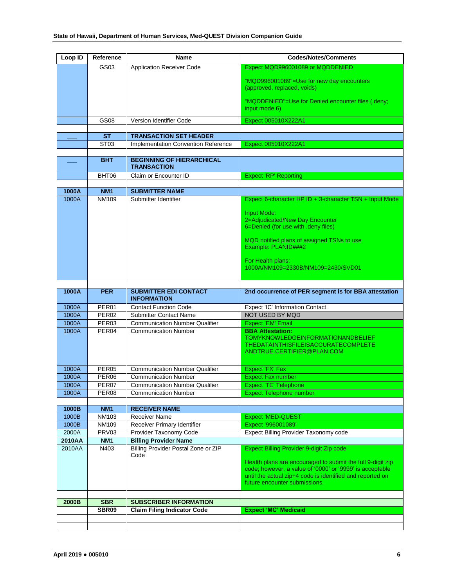| Loop ID        | Reference             | <b>Name</b>                                            | <b>Codes/Notes/Comments</b>                                                                                                                                                                                          |
|----------------|-----------------------|--------------------------------------------------------|----------------------------------------------------------------------------------------------------------------------------------------------------------------------------------------------------------------------|
|                | GS03                  | <b>Application Receiver Code</b>                       | Expect MQD996001089 or MQDDENIED                                                                                                                                                                                     |
|                |                       |                                                        | "MQD996001089"=Use for new day encounters<br>(approved, replaced, voids)                                                                                                                                             |
|                |                       |                                                        | "MQDDENIED"=Use for Denied encounter files (.deny;<br>input mode 6)                                                                                                                                                  |
|                | GS08                  | Version Identifier Code                                | Expect 005010X222A1                                                                                                                                                                                                  |
|                |                       |                                                        |                                                                                                                                                                                                                      |
|                | <b>ST</b>             | <b>TRANSACTION SET HEADER</b>                          |                                                                                                                                                                                                                      |
|                | ST <sub>03</sub>      | Implementation Convention Reference                    | Expect 005010X222A1                                                                                                                                                                                                  |
|                | <b>BHT</b>            | <b>BEGINNING OF HIERARCHICAL</b><br><b>TRANSACTION</b> |                                                                                                                                                                                                                      |
|                | BHT06                 | Claim or Encounter ID                                  | <b>Expect 'RP' Reporting</b>                                                                                                                                                                                         |
|                |                       |                                                        |                                                                                                                                                                                                                      |
| 1000A          | <b>NM1</b>            | <b>SUBMITTER NAME</b>                                  |                                                                                                                                                                                                                      |
| 1000A          | <b>NM109</b>          | Submitter Identifier                                   | Expect 6-character HP ID + 3-character TSN + Input Mode                                                                                                                                                              |
|                |                       |                                                        | <b>Input Mode:</b><br>2=Adjudicated/New Day Encounter<br>6=Denied (for use with deny files)<br>MQD notified plans of assigned TSNs to use<br>Example: PLANID###2                                                     |
|                |                       |                                                        | For Health plans:<br>1000A/NM109=2330B/NM109=2430/SVD01                                                                                                                                                              |
| 1000A          | <b>PER</b>            | <b>SUBMITTER EDI CONTACT</b><br><b>INFORMATION</b>     | 2nd occurrence of PER segment is for BBA attestation                                                                                                                                                                 |
| 1000A          | PER <sub>01</sub>     | <b>Contact Function Code</b>                           | Expect 'IC' Information Contact                                                                                                                                                                                      |
| 1000A          | PER <sub>02</sub>     | <b>Submitter Contact Name</b>                          | NOT USED BY MQD                                                                                                                                                                                                      |
| 1000A          | PER03                 | <b>Communication Number Qualifier</b>                  | <b>Expect 'EM' Email</b>                                                                                                                                                                                             |
| 1000A          | PER04                 | <b>Communication Number</b>                            | <b>BBA Attestation:</b><br><b>TOMYKNOWLEDGEINFORMATIONANDBELIEF</b><br><b>THEDATAINTHISFILEISACCURATECOMPLETE</b><br>ANDTRUE.CERTIFIER@PLAN.COM                                                                      |
| 1000A          | PER <sub>05</sub>     | <b>Communication Number Qualifier</b>                  | Expect 'FX' Fax                                                                                                                                                                                                      |
| 1000A          | PER <sub>06</sub>     | <b>Communication Number</b>                            | <b>Expect Fax number</b>                                                                                                                                                                                             |
| 1000A          | PER07                 | <b>Communication Number Qualifier</b>                  | Expect 'TE' Telephone                                                                                                                                                                                                |
| 1000A          | PER <sub>08</sub>     | <b>Communication Number</b>                            | <b>Expect Telephone number</b>                                                                                                                                                                                       |
|                |                       |                                                        |                                                                                                                                                                                                                      |
| 1000B          | NM <sub>1</sub>       | <b>RECEIVER NAME</b>                                   |                                                                                                                                                                                                                      |
| 1000B          | <b>NM103</b>          | Receiver Name                                          | <b>Expect 'MED-QUEST'</b>                                                                                                                                                                                            |
| 1000B<br>2000A | <b>NM109</b><br>PRV03 | Receiver Primary Identifier<br>Provider Taxonomy Code  | Expect '996001089'                                                                                                                                                                                                   |
| 2010AA         | NM <sub>1</sub>       | <b>Billing Provider Name</b>                           | Expect Billing Provider Taxonomy code                                                                                                                                                                                |
| 2010AA         | N403                  | <b>Billing Provider Postal Zone or ZIP</b>             | Expect Billing Provider 9-digit Zip code                                                                                                                                                                             |
|                |                       | Code                                                   | Health plans are encouraged to submit the full 9-digit zip<br>code; however, a value of '0000' or '9999' is acceptable<br>until the actual zip+4 code is identified and reported on<br>future encounter submissions. |
| 2000B          | <b>SBR</b>            | <b>SUBSCRIBER INFORMATION</b>                          |                                                                                                                                                                                                                      |
|                | SBR09                 | <b>Claim Filing Indicator Code</b>                     | <b>Expect 'MC' Medicaid</b>                                                                                                                                                                                          |
|                |                       |                                                        |                                                                                                                                                                                                                      |
|                |                       |                                                        |                                                                                                                                                                                                                      |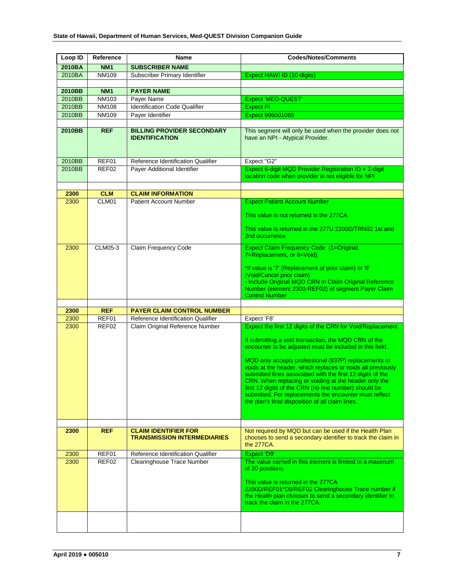| Loop ID | Reference       | Name                                                       | <b>Codes/Notes/Comments</b>                                                                                                                                                             |
|---------|-----------------|------------------------------------------------------------|-----------------------------------------------------------------------------------------------------------------------------------------------------------------------------------------|
| 2010BA  | <b>NM1</b>      | <b>SUBSCRIBER NAME</b>                                     |                                                                                                                                                                                         |
| 2010BA  | <b>NM109</b>    | Subscriber Primary Identifier                              | Expect HAWI ID (10-digits)                                                                                                                                                              |
|         |                 |                                                            |                                                                                                                                                                                         |
| 2010BB  | NM <sub>1</sub> | <b>PAYER NAME</b>                                          |                                                                                                                                                                                         |
| 2010BB  | <b>NM103</b>    | Payer Name                                                 | <b>Expect 'MED-QUEST'</b>                                                                                                                                                               |
| 2010BB  | <b>NM108</b>    | <b>Identification Code Qualifier</b>                       | <b>Expect PI</b>                                                                                                                                                                        |
| 2010BB  | NM109           | Payer Identifier                                           | Expect 996001089                                                                                                                                                                        |
|         |                 |                                                            |                                                                                                                                                                                         |
| 2010BB  | <b>REF</b>      | <b>BILLING PROVIDER SECONDARY</b><br><b>IDENTIFICATION</b> | This segment will only be used when the provider does not<br>have an NPI - Atypical Provider.                                                                                           |
| 2010BB  | REF01           | Reference Identification Qualifier                         | Expect "G2"                                                                                                                                                                             |
| 2010BB  | REF02           | Payer Additional Identifier                                | Expect 6-digit MQD Provider Registration ID + 2-digit<br>location code when provider is not eligible for NPI                                                                            |
| 2300    | <b>CLM</b>      | <b>CLAIM INFORMATION</b>                                   |                                                                                                                                                                                         |
| 2300    | CLM01           | <b>Patient Account Number</b>                              | <b>Expect Patient Account Number</b>                                                                                                                                                    |
|         |                 |                                                            |                                                                                                                                                                                         |
|         |                 |                                                            | This value is not returned in the 277CA                                                                                                                                                 |
|         |                 |                                                            | This value is returned in the 277U 2200D/TRN02 1st and<br>2nd occurrence                                                                                                                |
| 2300    | CLM05-3         | Claim Frequency Code                                       | Expect Claim Frequency Code (1=Original,<br>7=Replacement, or 8=Void)                                                                                                                   |
|         |                 |                                                            | *If value is '7' (Replacement of prior claim) or '8'                                                                                                                                    |
|         |                 |                                                            | (Void/Cancel prior claim)<br>- Include Original MQD CRN in Claim Original Reference<br>Number (element 2300-REF02) of segment Payer Claim                                               |
|         |                 |                                                            | <b>Control Number</b>                                                                                                                                                                   |
|         |                 |                                                            |                                                                                                                                                                                         |
| 2300    | <b>REF</b>      | <b>PAYER CLAIM CONTROL NUMBER</b>                          |                                                                                                                                                                                         |
| 2300    | REF01           | Reference Identification Qualifier                         | Expect 'F8'                                                                                                                                                                             |
| 2300    | REF02           | Claim Original Reference Number                            | Expect the first 12 digits of the CRN for Void/Replacement                                                                                                                              |
|         |                 |                                                            | If submitting a void transaction, the MQD CRN of the<br>encounter to be adjusted must be included in this field.                                                                        |
|         |                 |                                                            | MQD only accepts professional (837P) replacements or<br>voids at the header, which replaces or voids all previously                                                                     |
|         |                 |                                                            | submitted lines associated with the first 12 digits of the<br>CRN. When replacing or voiding at the header only the<br>first 12 digits of the CRN (no line number) should be            |
|         |                 |                                                            | submitted. For replacements the encounter must reflect<br>the plan's final disposition of all claim lines.                                                                              |
|         |                 |                                                            |                                                                                                                                                                                         |
| 2300    | <b>REF</b>      | <b>CLAIM IDENTIFIER FOR</b>                                | Not required by MQD but can be used if the Health Plan                                                                                                                                  |
|         |                 | <b>TRANSMISSION INTERMEDIARIES</b>                         | chooses to send a secondary identifier to track the claim in<br>the 277CA.                                                                                                              |
| 2300    | REF01           | Reference Identification Qualifier                         | Expect 'D9'                                                                                                                                                                             |
| 2300    | REF02           | Clearinghouse Trace Number                                 | The value carried in this element is limited to a maximum<br>of 20 positions.                                                                                                           |
|         |                 |                                                            | This value is returned in the 277CA<br>2200D/REF01*D9/REF02 Clearinghouse Trace number if<br>the Health plan chooses to send a secondary identifier to<br>track the claim in the 277CA. |
|         |                 |                                                            |                                                                                                                                                                                         |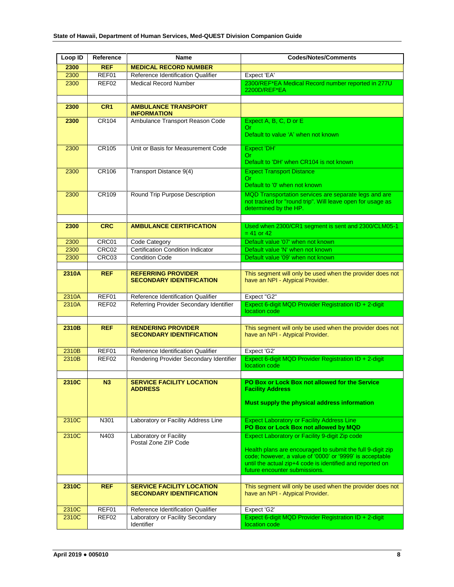| Loop ID      | Reference      | Name                                                      | <b>Codes/Notes/Comments</b>                                                                                            |
|--------------|----------------|-----------------------------------------------------------|------------------------------------------------------------------------------------------------------------------------|
| 2300         | <b>REF</b>     | <b>MEDICAL RECORD NUMBER</b>                              |                                                                                                                        |
| 2300         | REF01          | Reference Identification Qualifier                        | Expect 'EA'                                                                                                            |
| 2300         | REF02          | <b>Medical Record Number</b>                              | 2300/REF*EA Medical Record number reported in 277U<br>2200D/REF*EA                                                     |
|              |                |                                                           |                                                                                                                        |
| 2300         | CR1            | <b>AMBULANCE TRANSPORT</b>                                |                                                                                                                        |
|              |                | <b>INFORMATION</b>                                        |                                                                                                                        |
| 2300         | CR104          | Ambulance Transport Reason Code                           | Expect A, B, C, D or E                                                                                                 |
|              |                |                                                           | Or.<br>Default to value 'A' when not known                                                                             |
|              |                |                                                           |                                                                                                                        |
| 2300         | CR105          | Unit or Basis for Measurement Code                        | Expect 'DH'                                                                                                            |
|              |                |                                                           | Or.<br>Default to 'DH' when CR104 is not known                                                                         |
|              |                |                                                           |                                                                                                                        |
| 2300         | CR106          | Transport Distance 9(4)                                   | <b>Expect Transport Distance</b><br>Or.                                                                                |
|              |                |                                                           | Default to '0' when not known                                                                                          |
| 2300         | CR109          | Round Trip Purpose Description                            | MQD Transportation services are separate legs and are                                                                  |
|              |                |                                                           | not tracked for "round trip". Will leave open for usage as                                                             |
|              |                |                                                           | determined by the HP.                                                                                                  |
|              |                |                                                           |                                                                                                                        |
| 2300         | <b>CRC</b>     | <b>AMBULANCE CERTIFICATION</b>                            | Used when 2300/CR1 segment is sent and 2300/CLM05-1<br>$= 41$ or 42                                                    |
|              |                |                                                           |                                                                                                                        |
| 2300<br>2300 | CRC01<br>CRC02 | Code Category<br><b>Certification Condition Indicator</b> | Default value '07' when not known<br>Default value 'N' when not known                                                  |
| 2300         | CRC03          | <b>Condition Code</b>                                     | Default value '09' when not known                                                                                      |
|              |                |                                                           |                                                                                                                        |
| 2310A        | <b>REF</b>     | <b>REFERRING PROVIDER</b>                                 | This segment will only be used when the provider does not                                                              |
|              |                | <b>SECONDARY IDENTIFICATION</b>                           | have an NPI - Atypical Provider.                                                                                       |
|              |                |                                                           |                                                                                                                        |
| 2310A        | REF01          | Reference Identification Qualifier                        | Expect "G2"                                                                                                            |
| 2310A        | REF02          | Referring Provider Secondary Identifier                   | Expect 6-digit MQD Provider Registration ID + 2-digit<br>location code                                                 |
|              |                |                                                           |                                                                                                                        |
| 2310B        | <b>REF</b>     | <b>RENDERING PROVIDER</b>                                 | This segment will only be used when the provider does not                                                              |
|              |                | <b>SECONDARY IDENTIFICATION</b>                           | have an NPI - Atypical Provider.                                                                                       |
|              |                |                                                           |                                                                                                                        |
| 2310B        | REF01          | Reference Identification Qualifier                        | Expect 'G2'                                                                                                            |
| 2310B        | REF02          | Rendering Provider Secondary Identifier                   | Expect 6-digit MQD Provider Registration ID + 2-digit<br>location code                                                 |
|              |                |                                                           |                                                                                                                        |
| 2310C        | N3             | <b>SERVICE FACILITY LOCATION</b>                          | PO Box or Lock Box not allowed for the Service                                                                         |
|              |                | <b>ADDRESS</b>                                            | <b>Facility Address</b>                                                                                                |
|              |                |                                                           |                                                                                                                        |
|              |                |                                                           | Must supply the physical address information                                                                           |
| 2310C        |                | Laboratory or Facility Address Line                       | <b>Expect Laboratory or Facility Address Line</b>                                                                      |
|              | N301           |                                                           | PO Box or Lock Box not allowed by MQD                                                                                  |
| 2310C        | N403           | Laboratory or Facility                                    | Expect Laboratory or Facility 9-digit Zip code                                                                         |
|              |                | Postal Zone ZIP Code                                      |                                                                                                                        |
|              |                |                                                           | Health plans are encouraged to submit the full 9-digit zip<br>code; however, a value of '0000' or '9999' is acceptable |
|              |                |                                                           | until the actual zip+4 code is identified and reported on                                                              |
|              |                |                                                           | future encounter submissions.                                                                                          |
|              |                |                                                           |                                                                                                                        |
| 2310C        | <b>REF</b>     | <b>SERVICE FACILITY LOCATION</b>                          | This segment will only be used when the provider does not                                                              |
|              |                | <b>SECONDARY IDENTIFICATION</b>                           | have an NPI - Atypical Provider.                                                                                       |
| 2310C        | REF01          | Reference Identification Qualifier                        | Expect 'G2'                                                                                                            |
| 2310C        | REF02          | Laboratory or Facility Secondary                          | Expect 6-digit MQD Provider Registration ID + 2-digit                                                                  |
|              |                | Identifier                                                | location code                                                                                                          |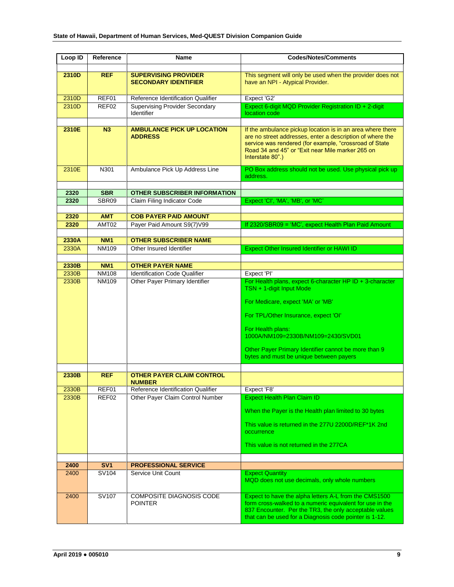| Loop ID        | Reference                    | Name                                                                   | <b>Codes/Notes/Comments</b>                                                                                                                                                                                                                                         |
|----------------|------------------------------|------------------------------------------------------------------------|---------------------------------------------------------------------------------------------------------------------------------------------------------------------------------------------------------------------------------------------------------------------|
|                |                              |                                                                        |                                                                                                                                                                                                                                                                     |
| 2310D          | <b>REF</b>                   | <b>SUPERVISING PROVIDER</b><br><b>SECONDARY IDENTIFIER</b>             | This segment will only be used when the provider does not<br>have an NPI - Atypical Provider.                                                                                                                                                                       |
| 2310D          | REF01                        | Reference Identification Qualifier                                     | Expect 'G2'                                                                                                                                                                                                                                                         |
| 2310D          | REF02                        | <b>Supervising Provider Secondary</b><br>Identifier                    | Expect 6-digit MQD Provider Registration ID + 2-digit<br>location code                                                                                                                                                                                              |
|                |                              |                                                                        |                                                                                                                                                                                                                                                                     |
| 2310E          | N3                           | <b>AMBULANCE PICK UP LOCATION</b><br><b>ADDRESS</b>                    | If the ambulance pickup location is in an area where there<br>are no street addresses, enter a description of where the<br>service was rendered (for example, "crossroad of State<br>Road 34 and 45" or "Exit near Mile marker 265 on<br>Interstate 80".)           |
| 2310E          | N301                         | Ambulance Pick Up Address Line                                         | PO Box address should not be used. Use physical pick up<br>address.                                                                                                                                                                                                 |
|                |                              |                                                                        |                                                                                                                                                                                                                                                                     |
| 2320<br>2320   | <b>SBR</b><br>SBR09          | <b>OTHER SUBSCRIBER INFORMATION</b><br>Claim Filing Indicator Code     | Expect 'CI', 'MA', 'MB', or 'MC'                                                                                                                                                                                                                                    |
|                |                              |                                                                        |                                                                                                                                                                                                                                                                     |
| 2320           | <b>AMT</b>                   | <b>COB PAYER PAID AMOUNT</b>                                           |                                                                                                                                                                                                                                                                     |
| 2320           | AMT02                        | Payer Paid Amount S9(7)V99                                             | If 2320/SBR09 = 'MC', expect Health Plan Paid Amount                                                                                                                                                                                                                |
|                |                              |                                                                        |                                                                                                                                                                                                                                                                     |
| 2330A          | <b>NM1</b>                   | <b>OTHER SUBSCRIBER NAME</b>                                           |                                                                                                                                                                                                                                                                     |
| 2330A          | <b>NM109</b>                 | Other Insured Identifier                                               | Expect Other Insured Identifier or HAWI ID                                                                                                                                                                                                                          |
|                |                              |                                                                        |                                                                                                                                                                                                                                                                     |
| 2330B          | <b>NM1</b>                   | <b>OTHER PAYER NAME</b>                                                |                                                                                                                                                                                                                                                                     |
| 2330B<br>2330B | <b>NM108</b><br><b>NM109</b> | <b>Identification Code Qualifier</b><br>Other Payer Primary Identifier | Expect 'PI'<br>For Health plans, expect 6-character HP ID + 3-character                                                                                                                                                                                             |
|                |                              |                                                                        | TSN + 1-digit Input Mode<br>For Medicare, expect 'MA' or 'MB'<br>For TPL/Other Insurance, expect 'OI'<br>For Health plans:<br>1000A/NM109=2330B/NM109=2430/SVD01<br>Other Payer Primary Identifier cannot be more than 9<br>bytes and must be unique between payers |
| 2330B          | <b>REF</b>                   | <b>OTHER PAYER CLAIM CONTROL</b>                                       |                                                                                                                                                                                                                                                                     |
|                |                              | <b>NUMBER</b>                                                          |                                                                                                                                                                                                                                                                     |
| 2330B          | REF01                        | Reference Identification Qualifier                                     | Expect 'F8'                                                                                                                                                                                                                                                         |
| 2330B          | REF02                        | Other Payer Claim Control Number                                       | <b>Expect Health Plan Claim ID</b><br>When the Payer is the Health plan limited to 30 bytes<br>This value is returned in the 277U 2200D/REF*1K 2nd<br>occurrence<br>This value is not returned in the 277CA                                                         |
| 2400           | SV <sub>1</sub>              | <b>PROFESSIONAL SERVICE</b>                                            |                                                                                                                                                                                                                                                                     |
| 2400           | SV104                        | Service Unit Count                                                     | <b>Expect Quantity</b><br>MQD does not use decimals, only whole numbers                                                                                                                                                                                             |
| 2400           | SV107                        | <b>COMPOSITE DIAGNOSIS CODE</b><br><b>POINTER</b>                      | Expect to have the alpha letters A-L from the CMS1500<br>form cross-walked to a numeric equivalent for use in the<br>837 Encounter. Per the TR3, the only acceptable values<br>that can be used for a Diagnosis code pointer is 1-12.                               |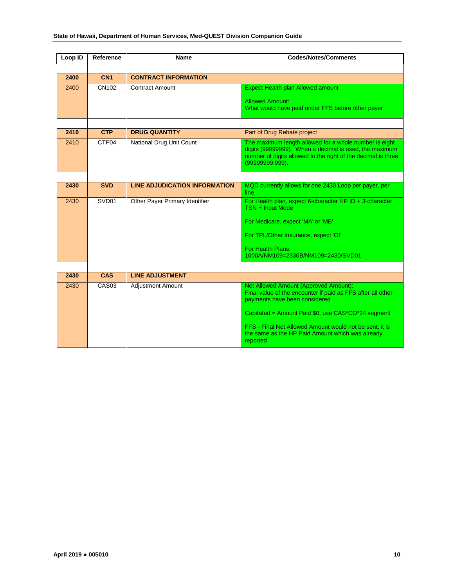| Loop ID | Reference         | <b>Name</b>                          | <b>Codes/Notes/Comments</b>                                                                                                                                                                          |
|---------|-------------------|--------------------------------------|------------------------------------------------------------------------------------------------------------------------------------------------------------------------------------------------------|
|         |                   |                                      |                                                                                                                                                                                                      |
| 2400    | CN <sub>1</sub>   | <b>CONTRACT INFORMATION</b>          |                                                                                                                                                                                                      |
| 2400    | CN102             | <b>Contract Amount</b>               | <b>Expect Health plan Allowed amount</b>                                                                                                                                                             |
|         |                   |                                      | <b>Allowed Amount:</b><br>What would have paid under FFS before other payer                                                                                                                          |
|         |                   |                                      |                                                                                                                                                                                                      |
|         |                   |                                      |                                                                                                                                                                                                      |
| 2410    | <b>CTP</b>        | <b>DRUG QUANTITY</b>                 | Part of Drug Rebate project                                                                                                                                                                          |
| 2410    | CTP04             | National Drug Unit Count             | The maximum length allowed for a whole number is eight<br>digits (99999999). When a decimal is used, the maximum<br>number of digits allowed to the right of the decimal is three<br>(99999999.999). |
|         |                   |                                      |                                                                                                                                                                                                      |
| 2430    | <b>SVD</b>        | <b>LINE ADJUDICATION INFORMATION</b> | MQD currently allows for one 2430 Loop per payer, per<br>line.                                                                                                                                       |
| 2430    | SVD01             | Other Payer Primary Identifier       | For Health plan, expect 6-character HP ID + 3-character<br>TSN + Input Mode                                                                                                                          |
|         |                   |                                      | For Medicare, expect 'MA' or 'MB'                                                                                                                                                                    |
|         |                   |                                      | For TPL/Other Insurance, expect 'OI'                                                                                                                                                                 |
|         |                   |                                      | For Health Plans:<br>1000A/NM109=2330B/NM109=2430/SVD01                                                                                                                                              |
|         |                   |                                      |                                                                                                                                                                                                      |
| 2430    | <b>CAS</b>        | <b>LINE ADJUSTMENT</b>               |                                                                                                                                                                                                      |
| 2430    | CAS <sub>03</sub> | <b>Adjustment Amount</b>             | Net Allowed Amount (Approved Amount):<br>Final value of the encounter if paid as FFS after all other<br>payments have been considered                                                                |
|         |                   |                                      | Capitated = Amount Paid $$0$ , use $CAS^*CO^*24$ segment                                                                                                                                             |
|         |                   |                                      | FFS - Final Net Allowed Amount would not be sent; it is<br>the same as the HP Paid Amount which was already<br>reported                                                                              |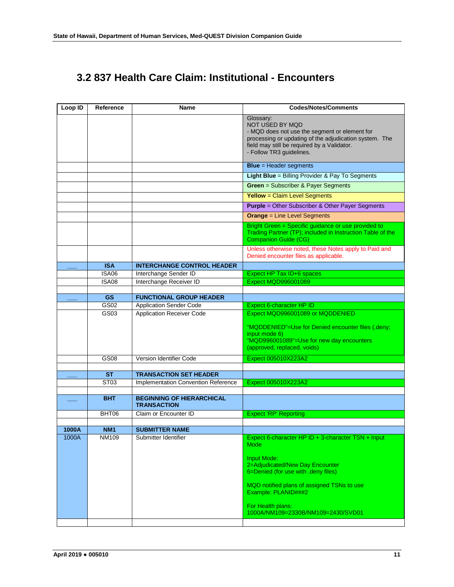## <span id="page-10-0"></span>**3.2 837 Health Care Claim: Institutional - Encounters**

| Loop ID | Reference                     | Name                                                                 | <b>Codes/Notes/Comments</b>                                                                                                                                                                                                          |
|---------|-------------------------------|----------------------------------------------------------------------|--------------------------------------------------------------------------------------------------------------------------------------------------------------------------------------------------------------------------------------|
|         |                               |                                                                      | Glossary:<br><b>NOT USED BY MQD</b><br>- MQD does not use the segment or element for<br>processing or updating of the adjudication system. The<br>field may still be required by a Validator.<br>- Follow TR3 guidelines.            |
|         |                               |                                                                      | <b>Blue</b> = Header segments                                                                                                                                                                                                        |
|         |                               |                                                                      | Light Blue = Billing Provider & Pay To Segments                                                                                                                                                                                      |
|         |                               |                                                                      | <b>Green = Subscriber &amp; Payer Segments</b>                                                                                                                                                                                       |
|         |                               |                                                                      | <b>Yellow</b> = Claim Level Segments                                                                                                                                                                                                 |
|         |                               |                                                                      | <b>Purple = Other Subscriber &amp; Other Payer Segments</b>                                                                                                                                                                          |
|         |                               |                                                                      | <b>Orange = Line Level Segments</b>                                                                                                                                                                                                  |
|         |                               |                                                                      | Bright Green = Specific guidance or use provided to<br>Trading Partner (TP); included in Instruction Table of the<br><b>Companion Guide (CG)</b>                                                                                     |
|         |                               |                                                                      | Unless otherwise noted, these Notes apply to Paid and<br>Denied encounter files as applicable.                                                                                                                                       |
|         | <b>ISA</b>                    | <b>INTERCHANGE CONTROL HEADER</b>                                    |                                                                                                                                                                                                                                      |
|         | <b>ISA06</b><br><b>ISA08</b>  | Interchange Sender ID<br>Interchange Receiver ID                     | Expect HP Tax ID+6 spaces<br><b>Expect MQD996001089</b>                                                                                                                                                                              |
|         |                               |                                                                      |                                                                                                                                                                                                                                      |
|         | <b>GS</b>                     | <b>FUNCTIONAL GROUP HEADER</b>                                       |                                                                                                                                                                                                                                      |
|         | GS02                          | <b>Application Sender Code</b>                                       | Expect 6-character HP ID                                                                                                                                                                                                             |
|         | GS03                          | <b>Application Receiver Code</b>                                     | Expect MQD996001089 or MQDDENIED<br>"MQDDENIED"=Use for Denied encounter files (.deny;<br>input mode 6)<br>"MQD996001089"=Use for new day encounters<br>(approved, replaced, voids)                                                  |
|         | <b>GS08</b>                   | Version Identifier Code                                              | Expect 005010X223A2                                                                                                                                                                                                                  |
|         |                               |                                                                      |                                                                                                                                                                                                                                      |
|         | <b>ST</b><br>ST <sub>03</sub> | <b>TRANSACTION SET HEADER</b><br>Implementation Convention Reference | Expect 005010X223A2                                                                                                                                                                                                                  |
|         |                               |                                                                      |                                                                                                                                                                                                                                      |
|         | <b>BHT</b>                    | <b>BEGINNING OF HIERARCHICAL</b><br><b>TRANSACTION</b>               |                                                                                                                                                                                                                                      |
|         | BHT06                         | Claim or Encounter ID                                                | <b>Expect 'RP' Reporting</b>                                                                                                                                                                                                         |
| 1000A   | <b>NM1</b>                    | <b>SUBMITTER NAME</b>                                                |                                                                                                                                                                                                                                      |
| 1000A.  | NM109                         | Submitter Identifier                                                 | Expect 6-character HP ID + 3-character TSN + Input                                                                                                                                                                                   |
|         |                               |                                                                      | Mode<br><b>Input Mode:</b><br>2=Adjudicated/New Day Encounter<br>6=Denied (for use with .deny files)<br>MQD notified plans of assigned TSNs to use<br>Example: PLANID###2<br>For Health plans:<br>1000A/NM109=2330B/NM109=2430/SVD01 |
|         |                               |                                                                      |                                                                                                                                                                                                                                      |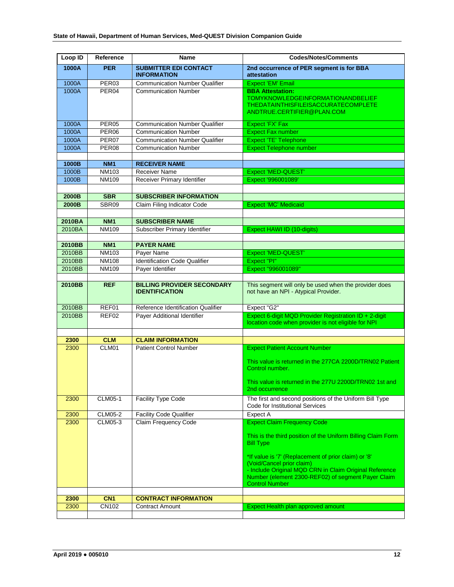| Loop ID          | Reference                    | Name                                                       | <b>Codes/Notes/Comments</b>                                                                                                                                                                                                                                                                                    |
|------------------|------------------------------|------------------------------------------------------------|----------------------------------------------------------------------------------------------------------------------------------------------------------------------------------------------------------------------------------------------------------------------------------------------------------------|
| 1000A            | <b>PER</b>                   | <b>SUBMITTER EDI CONTACT</b><br><b>INFORMATION</b>         | 2nd occurrence of PER segment is for BBA<br>attestation                                                                                                                                                                                                                                                        |
| 1000A            | PER03                        | <b>Communication Number Qualifier</b>                      | <b>Expect 'EM' Email</b>                                                                                                                                                                                                                                                                                       |
| 1000A            | PER <sub>04</sub>            | <b>Communication Number</b>                                | <b>BBA Attestation:</b><br><b>TOMYKNOWLEDGEINFORMATIONANDBELIEF</b><br><b>THEDATAINTHISFILEISACCURATECOMPLETE</b><br>ANDTRUE.CERTIFIER@PLAN.COM                                                                                                                                                                |
| 1000A            | PER <sub>05</sub>            | <b>Communication Number Qualifier</b>                      | Expect 'FX' Fax                                                                                                                                                                                                                                                                                                |
| 1000A            | PER <sub>06</sub>            | <b>Communication Number</b>                                | <b>Expect Fax number</b>                                                                                                                                                                                                                                                                                       |
| 1000A            | PER <sub>07</sub>            | <b>Communication Number Qualifier</b>                      | Expect 'TE' Telephone                                                                                                                                                                                                                                                                                          |
| 1000A            | PER <sub>08</sub>            | <b>Communication Number</b>                                | <b>Expect Telephone number</b>                                                                                                                                                                                                                                                                                 |
|                  | <b>NM1</b>                   | <b>RECEIVER NAME</b>                                       |                                                                                                                                                                                                                                                                                                                |
| 1000B<br>1000B   | NM103                        | Receiver Name                                              | Expect 'MED-QUEST'                                                                                                                                                                                                                                                                                             |
| 1000B            | <b>NM109</b>                 | Receiver Primary Identifier                                | Expect '996001089'                                                                                                                                                                                                                                                                                             |
|                  |                              |                                                            |                                                                                                                                                                                                                                                                                                                |
| 2000B            | <b>SBR</b>                   | <b>SUBSCRIBER INFORMATION</b>                              |                                                                                                                                                                                                                                                                                                                |
| 2000B            | SBR09                        | Claim Filing Indicator Code                                | <b>Expect 'MC' Medicaid</b>                                                                                                                                                                                                                                                                                    |
|                  |                              |                                                            |                                                                                                                                                                                                                                                                                                                |
| 2010BA           | <b>NM1</b>                   | <b>SUBSCRIBER NAME</b>                                     |                                                                                                                                                                                                                                                                                                                |
| 2010BA           | NM109                        | Subscriber Primary Identifier                              | Expect HAWI ID (10-digits)                                                                                                                                                                                                                                                                                     |
|                  |                              |                                                            |                                                                                                                                                                                                                                                                                                                |
| 2010BB           | <b>NM1</b>                   | <b>PAYER NAME</b>                                          |                                                                                                                                                                                                                                                                                                                |
| 2010BB           | <b>NM103</b>                 | Payer Name                                                 | <b>Expect 'MED-QUEST'</b>                                                                                                                                                                                                                                                                                      |
| 2010BB<br>2010BB | <b>NM108</b><br><b>NM109</b> | <b>Identification Code Qualifier</b><br>Payer Identifier   | Expect "PI"<br>Expect "996001089"                                                                                                                                                                                                                                                                              |
|                  |                              |                                                            |                                                                                                                                                                                                                                                                                                                |
| 2010BB           | <b>REF</b>                   | <b>BILLING PROVIDER SECONDARY</b><br><b>IDENTIFICATION</b> | This segment will only be used when the provider does<br>not have an NPI - Atypical Provider.                                                                                                                                                                                                                  |
| 2010BB           | REF01                        | Reference Identification Qualifier                         | Expect "G2"                                                                                                                                                                                                                                                                                                    |
| 2010BB           | REF02                        | Payer Additional Identifier                                | Expect 6-digit MQD Provider Registration ID + 2-digit<br>location code when provider is not eligible for NPI                                                                                                                                                                                                   |
|                  |                              |                                                            |                                                                                                                                                                                                                                                                                                                |
| 2300<br>2300     | <b>CLM</b><br>CLM01          | <b>CLAIM INFORMATION</b><br><b>Patient Control Number</b>  | <b>Expect Patient Account Number</b>                                                                                                                                                                                                                                                                           |
|                  |                              |                                                            | This value is returned in the 277CA 2200D/TRN02 Patient<br>Control number.<br>This value is returned in the 277U 2200D/TRN02 1st and<br>2nd occurrence                                                                                                                                                         |
| 2300             | <b>CLM05-1</b>               | Facility Type Code                                         | The first and second positions of the Uniform Bill Type<br>Code for Institutional Services                                                                                                                                                                                                                     |
| 2300             | <b>CLM05-2</b>               | <b>Facility Code Qualifier</b>                             | Expect A                                                                                                                                                                                                                                                                                                       |
| 2300             | CLM05-3                      | Claim Frequency Code                                       | <b>Expect Claim Frequency Code</b>                                                                                                                                                                                                                                                                             |
|                  |                              |                                                            | This is the third position of the Uniform Billing Claim Form<br><b>Bill Type</b><br>*If value is '7' (Replacement of prior claim) or '8'<br>(Void/Cancel prior claim)<br>- Include Original MQD CRN in Claim Original Reference<br>Number (element 2300-REF02) of segment Payer Claim<br><b>Control Number</b> |
| 2300             | CN <sub>1</sub>              | <b>CONTRACT INFORMATION</b>                                |                                                                                                                                                                                                                                                                                                                |
| 2300             | CN102                        | <b>Contract Amount</b>                                     | Expect Health plan approved amount                                                                                                                                                                                                                                                                             |
|                  |                              |                                                            |                                                                                                                                                                                                                                                                                                                |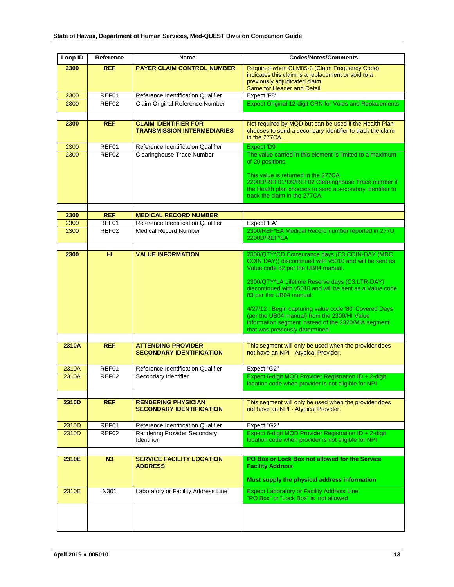| Loop ID | Reference  | <b>Name</b>                                                       | <b>Codes/Notes/Comments</b>                                                                                                                                                                                                                                                                                                                                                                                                                                                                 |
|---------|------------|-------------------------------------------------------------------|---------------------------------------------------------------------------------------------------------------------------------------------------------------------------------------------------------------------------------------------------------------------------------------------------------------------------------------------------------------------------------------------------------------------------------------------------------------------------------------------|
| 2300    | <b>REF</b> | <b>PAYER CLAIM CONTROL NUMBER</b>                                 | Required when CLM05-3 (Claim Frequency Code)<br>indicates this claim is a replacement or void to a<br>previously adjudicated claim.<br>Same for Header and Detail                                                                                                                                                                                                                                                                                                                           |
| 2300    | REF01      | Reference Identification Qualifier                                | Expect 'F8'                                                                                                                                                                                                                                                                                                                                                                                                                                                                                 |
| 2300    | REFO2      | Claim Original Reference Number                                   | <b>Expect Original 12-digit CRN for Voids and Replacements</b>                                                                                                                                                                                                                                                                                                                                                                                                                              |
| 2300    | <b>REF</b> | <b>CLAIM IDENTIFIER FOR</b><br><b>TRANSMISSION INTERMEDIARIES</b> | Not required by MQD but can be used if the Health Plan<br>chooses to send a secondary identifier to track the claim<br>in the 277CA.                                                                                                                                                                                                                                                                                                                                                        |
| 2300    | REF01      | Reference Identification Qualifier                                | Expect 'D9'                                                                                                                                                                                                                                                                                                                                                                                                                                                                                 |
| 2300    | REF02      | Clearinghouse Trace Number                                        | The value carried in this element is limited to a maximum<br>of 20 positions.<br>This value is returned in the 277CA<br>2200D/REF01*D9/REF02 Clearinghouse Trace number if<br>the Health plan chooses to send a secondary identifier to<br>track the claim in the 277CA.                                                                                                                                                                                                                    |
| 2300    | <b>REF</b> | <b>MEDICAL RECORD NUMBER</b>                                      |                                                                                                                                                                                                                                                                                                                                                                                                                                                                                             |
| 2300    | REF01      | Reference Identification Qualifier                                | Expect 'EA'                                                                                                                                                                                                                                                                                                                                                                                                                                                                                 |
| 2300    | REF02      | <b>Medical Record Number</b>                                      | 2300/REF*EA Medical Record number reported in 277U<br>2200D/REF*EA                                                                                                                                                                                                                                                                                                                                                                                                                          |
| 2300    | HI.        | <b>VALUE INFORMATION</b>                                          | 2300/QTY*CD Coinsurance days (C3.COIN-DAY (MDC<br>COIN DAY)) discontinued with v5010 and will be sent as<br>Value code 82 per the UB04 manual.<br>2300/QTY*LA Lifetime Reserve days (C3.LTR-DAY)<br>discontinued with v5010 and will be sent as a Value code<br>83 per the UB04 manual.<br>4/27/12 : Begin capturing value code '80' Covered Days<br>(per the UB04 manual) from the 2300/HI Value<br>information segment instead of the 2320/MIA segment<br>that was previously determined. |
| 2310A   | <b>REF</b> | <b>ATTENDING PROVIDER</b><br><b>SECONDARY IDENTIFICATION</b>      | This segment will only be used when the provider does<br>not have an NPI - Atypical Provider.                                                                                                                                                                                                                                                                                                                                                                                               |
| 2310A   | REF01      | Reference Identification Qualifier                                | Expect "G2"                                                                                                                                                                                                                                                                                                                                                                                                                                                                                 |
| 2310A   | REF02      | Secondary Identifier                                              | Expect 6-digit MQD Provider Registration ID + 2-digit<br>location code when provider is not eligible for NPI                                                                                                                                                                                                                                                                                                                                                                                |
| 2310D   | <b>REF</b> | <b>RENDERING PHYSICIAN</b><br><b>SECONDARY IDENTIFICATION</b>     | This segment will only be used when the provider does<br>not have an NPI - Atypical Provider.                                                                                                                                                                                                                                                                                                                                                                                               |
| 2310D   | REF01      | Reference Identification Qualifier                                | Expect "G2"                                                                                                                                                                                                                                                                                                                                                                                                                                                                                 |
| 2310D   | REF02      | <b>Rendering Provider Secondary</b><br><b>Identifier</b>          | Expect 6-digit MQD Provider Registration ID + 2-digit<br>location code when provider is not eligible for NPI                                                                                                                                                                                                                                                                                                                                                                                |
| 2310E   | N3         | <b>SERVICE FACILITY LOCATION</b><br><b>ADDRESS</b>                | PO Box or Lock Box not allowed for the Service<br><b>Facility Address</b><br>Must supply the physical address information                                                                                                                                                                                                                                                                                                                                                                   |
| 2310E   | N301       | Laboratory or Facility Address Line                               | <b>Expect Laboratory or Facility Address Line</b><br>"PO Box" or "Lock Box" is not allowed                                                                                                                                                                                                                                                                                                                                                                                                  |
|         |            |                                                                   |                                                                                                                                                                                                                                                                                                                                                                                                                                                                                             |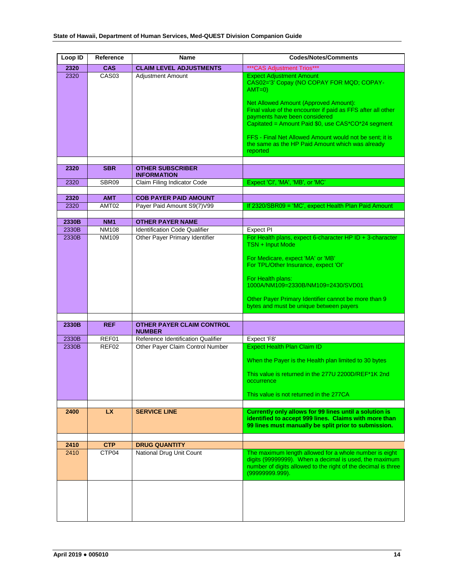| Loop ID      | Reference           | Name                                              | <b>Codes/Notes/Comments</b>                                                                                                                                                                 |
|--------------|---------------------|---------------------------------------------------|---------------------------------------------------------------------------------------------------------------------------------------------------------------------------------------------|
| 2320         | <b>CAS</b>          | <b>CLAIM LEVEL ADJUSTMENTS</b>                    | *** CAS Adjustment Trios***                                                                                                                                                                 |
| 2320         | CAS <sub>03</sub>   | <b>Adjustment Amount</b>                          | <b>Expect Adjustment Amount</b><br>CAS02='3' Copay (NO COPAY FOR MQD; COPAY-<br>$AMT=0$                                                                                                     |
|              |                     |                                                   | Net Allowed Amount (Approved Amount):<br>Final value of the encounter if paid as FFS after all other<br>payments have been considered<br>Capitated = Amount Paid \$0, use CAS*CO*24 segment |
|              |                     |                                                   | FFS - Final Net Allowed Amount would not be sent; it is<br>the same as the HP Paid Amount which was already<br>reported                                                                     |
| 2320         | <b>SBR</b>          | <b>OTHER SUBSCRIBER</b>                           |                                                                                                                                                                                             |
|              |                     | <b>INFORMATION</b>                                |                                                                                                                                                                                             |
| 2320         | SBR <sub>09</sub>   | Claim Filing Indicator Code                       | Expect 'CI', 'MA', 'MB', or 'MC'                                                                                                                                                            |
| 2320         | <b>AMT</b>          | <b>COB PAYER PAID AMOUNT</b>                      |                                                                                                                                                                                             |
| 2320         | AMT02               | Payer Paid Amount S9(7)V99                        | If 2320/SBR09 = 'MC', expect Health Plan Paid Amount                                                                                                                                        |
|              |                     |                                                   |                                                                                                                                                                                             |
| 2330B        | <b>NM1</b>          | <b>OTHER PAYER NAME</b>                           |                                                                                                                                                                                             |
| 2330B        | <b>NM108</b>        | <b>Identification Code Qualifier</b>              | Expect PI                                                                                                                                                                                   |
| 2330B        | <b>NM109</b>        | Other Payer Primary Identifier                    | For Health plans, expect 6-character HP ID + 3-character<br>TSN + Input Mode                                                                                                                |
|              |                     |                                                   | For Medicare, expect 'MA' or 'MB'<br>For TPL/Other Insurance, expect 'OI'                                                                                                                   |
|              |                     |                                                   | For Health plans:<br>1000A/NM109=2330B/NM109=2430/SVD01                                                                                                                                     |
|              |                     |                                                   | Other Payer Primary Identifier cannot be more than 9<br>bytes and must be unique between payers                                                                                             |
|              |                     |                                                   |                                                                                                                                                                                             |
| 2330B        | <b>REF</b>          | <b>OTHER PAYER CLAIM CONTROL</b><br><b>NUMBER</b> |                                                                                                                                                                                             |
| 2330B        | REF01               | Reference Identification Qualifier                | Expect 'F8'                                                                                                                                                                                 |
| 2330B        | REF02               | Other Payer Claim Control Number                  | <b>Expect Health Plan Claim ID</b>                                                                                                                                                          |
|              |                     |                                                   | When the Payer is the Health plan limited to 30 bytes                                                                                                                                       |
|              |                     |                                                   | This value is returned in the 277U 2200D/REF*1K 2nd<br>occurrence                                                                                                                           |
|              |                     |                                                   | This value is not returned in the 277CA                                                                                                                                                     |
| 2400         | LX                  | <b>SERVICE LINE</b>                               | Currently only allows for 99 lines until a solution is<br>identified to accept 999 lines. Claims with more than<br>99 lines must manually be split prior to submission.                     |
|              |                     |                                                   |                                                                                                                                                                                             |
| 2410<br>2410 | <b>CTP</b><br>CTP04 | <b>DRUG QUANTITY</b><br>National Drug Unit Count  | The maximum length allowed for a whole number is eight                                                                                                                                      |
|              |                     |                                                   | digits (99999999). When a decimal is used, the maximum<br>number of digits allowed to the right of the decimal is three<br>(99999999.999).                                                  |
|              |                     |                                                   |                                                                                                                                                                                             |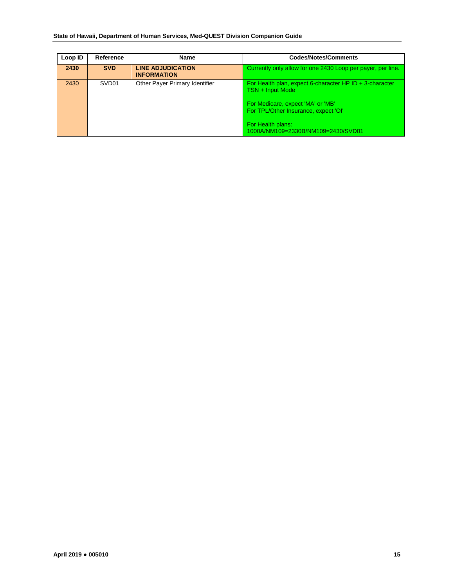| Loop ID | Reference         | <b>Name</b>                                    | <b>Codes/Notes/Comments</b>                                                                                                                                                                                           |
|---------|-------------------|------------------------------------------------|-----------------------------------------------------------------------------------------------------------------------------------------------------------------------------------------------------------------------|
| 2430    | <b>SVD</b>        | <b>LINE ADJUDICATION</b><br><b>INFORMATION</b> | Currently only allow for one 2430 Loop per payer, per line.                                                                                                                                                           |
| 2430    | SVD <sub>01</sub> | Other Payer Primary Identifier                 | For Health plan, expect 6-character HP ID $+$ 3-character<br>TSN + Input Mode<br>For Medicare, expect 'MA' or 'MB'<br>For TPL/Other Insurance, expect 'OI'<br>For Health plans:<br>1000A/NM109=2330B/NM109=2430/SVD01 |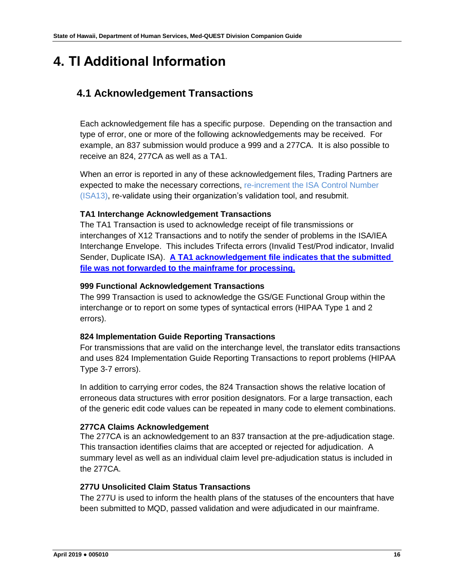# <span id="page-15-0"></span>**4. TI Additional Information**

## <span id="page-15-1"></span>**4.1 Acknowledgement Transactions**

Each acknowledgement file has a specific purpose. Depending on the transaction and type of error, one or more of the following acknowledgements may be received. For example, an 837 submission would produce a 999 and a 277CA. It is also possible to receive an 824, 277CA as well as a TA1.

When an error is reported in any of these acknowledgement files, Trading Partners are expected to make the necessary corrections, re-increment the ISA Control Number (ISA13), re-validate using their organization's validation tool, and resubmit.

#### **TA1 Interchange Acknowledgement Transactions**

The TA1 Transaction is used to acknowledge receipt of file transmissions or interchanges of X12 Transactions and to notify the sender of problems in the ISA/IEA Interchange Envelope. This includes Trifecta errors (Invalid Test/Prod indicator, Invalid Sender, Duplicate ISA). **A TA1 acknowledgement file indicates that the submitted file was not forwarded to the mainframe for processing.**

#### **999 Functional Acknowledgement Transactions**

The 999 Transaction is used to acknowledge the GS/GE Functional Group within the interchange or to report on some types of syntactical errors (HIPAA Type 1 and 2 errors).

#### **824 Implementation Guide Reporting Transactions**

For transmissions that are valid on the interchange level, the translator edits transactions and uses 824 Implementation Guide Reporting Transactions to report problems (HIPAA Type 3-7 errors).

In addition to carrying error codes, the 824 Transaction shows the relative location of erroneous data structures with error position designators. For a large transaction, each of the generic edit code values can be repeated in many code to element combinations.

#### **277CA Claims Acknowledgement**

The 277CA is an acknowledgement to an 837 transaction at the pre-adjudication stage. This transaction identifies claims that are accepted or rejected for adjudication. A summary level as well as an individual claim level pre-adjudication status is included in the 277CA.

#### **277U Unsolicited Claim Status Transactions**

The 277U is used to inform the health plans of the statuses of the encounters that have been submitted to MQD, passed validation and were adjudicated in our mainframe.